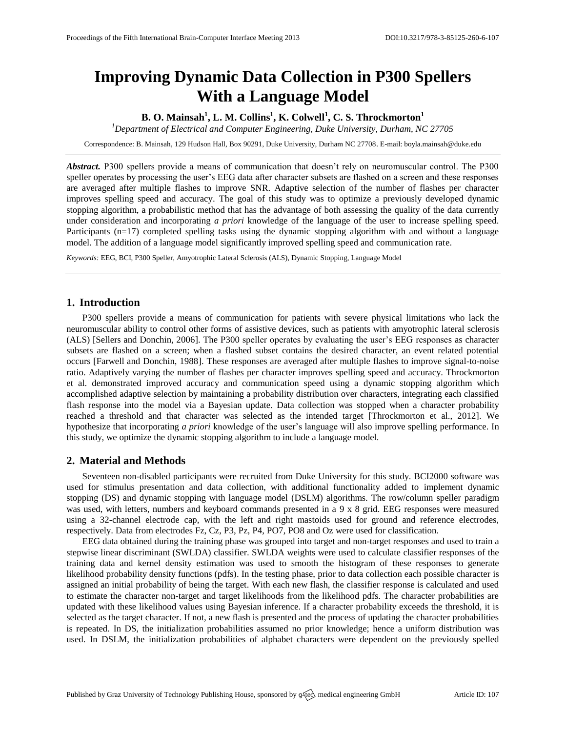# **Improving Dynamic Data Collection in P300 Spellers With a Language Model**

**B. O. Mainsah<sup>1</sup> , L. M. Collins<sup>1</sup> , K. Colwell<sup>1</sup> , C. S. Throckmorton<sup>1</sup>**

*<sup>1</sup>Department of Electrical and Computer Engineering, Duke University, Durham, NC 27705*

Correspondence: B. Mainsah, 129 Hudson Hall, Box 90291, Duke University, Durham NC 27708. E-mail[: boyla.mainsah@duke.edu](mailto:boyla.mainsah@duke.edu)

*Abstract.* P300 spellers provide a means of communication that doesn't rely on neuromuscular control. The P300 speller operates by processing the user's EEG data after character subsets are flashed on a screen and these responses are averaged after multiple flashes to improve SNR. Adaptive selection of the number of flashes per character improves spelling speed and accuracy. The goal of this study was to optimize a previously developed dynamic stopping algorithm, a probabilistic method that has the advantage of both assessing the quality of the data currently under consideration and incorporating *a priori* knowledge of the language of the user to increase spelling speed. Participants (n=17) completed spelling tasks using the dynamic stopping algorithm with and without a language model. The addition of a language model significantly improved spelling speed and communication rate.

*Keywords:* EEG, BCI, P300 Speller, Amyotrophic Lateral Sclerosis (ALS), Dynamic Stopping, Language Model

## **1. Introduction**

P300 spellers provide a means of communication for patients with severe physical limitations who lack the neuromuscular ability to control other forms of assistive devices, such as patients with amyotrophic lateral sclerosis (ALS) [Sellers and Donchin, 2006]. The P300 speller operates by evaluating the user's EEG responses as character subsets are flashed on a screen; when a flashed subset contains the desired character, an event related potential occurs [Farwell and Donchin, 1988]. These responses are averaged after multiple flashes to improve signal-to-noise ratio. Adaptively varying the number of flashes per character improves spelling speed and accuracy. Throckmorton et al. demonstrated improved accuracy and communication speed using a dynamic stopping algorithm which accomplished adaptive selection by maintaining a probability distribution over characters, integrating each classified flash response into the model via a Bayesian update. Data collection was stopped when a character probability reached a threshold and that character was selected as the intended target [Throckmorton et al., 2012]. We hypothesize that incorporating *a priori* knowledge of the user's language will also improve spelling performance. In this study, we optimize the dynamic stopping algorithm to include a language model.

#### **2. Material and Methods**

Seventeen non-disabled participants were recruited from Duke University for this study. BCI2000 software was used for stimulus presentation and data collection, with additional functionality added to implement dynamic stopping (DS) and dynamic stopping with language model (DSLM) algorithms. The row/column speller paradigm was used, with letters, numbers and keyboard commands presented in a 9 x 8 grid. EEG responses were measured using a 32-channel electrode cap, with the left and right mastoids used for ground and reference electrodes, respectively. Data from electrodes Fz, Cz, P3, Pz, P4, PO7, PO8 and Oz were used for classification.

EEG data obtained during the training phase was grouped into target and non-target responses and used to train a stepwise linear discriminant (SWLDA) classifier. SWLDA weights were used to calculate classifier responses of the training data and kernel density estimation was used to smooth the histogram of these responses to generate likelihood probability density functions (pdfs). In the testing phase, prior to data collection each possible character is assigned an initial probability of being the target. With each new flash, the classifier response is calculated and used to estimate the character non-target and target likelihoods from the likelihood pdfs. The character probabilities are updated with these likelihood values using Bayesian inference. If a character probability exceeds the threshold, it is selected as the target character. If not, a new flash is presented and the process of updating the character probabilities is repeated. In DS, the initialization probabilities assumed no prior knowledge; hence a uniform distribution was used. In DSLM, the initialization probabilities of alphabet characters were dependent on the previously spelled